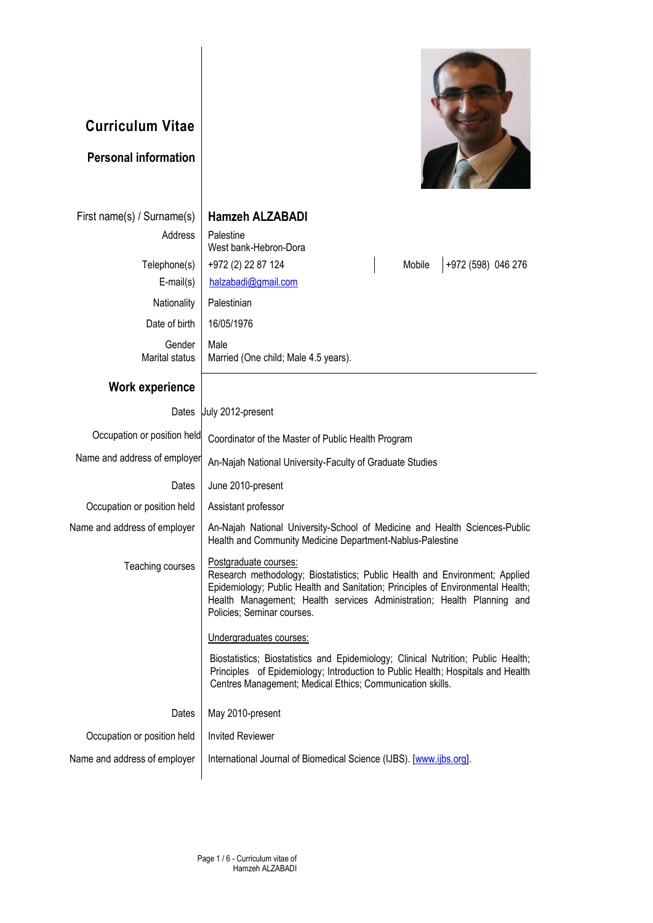## **Curriculum Vitae Personal information** First name(s) / Surname(s) **Hamzeh ALZABADI** Address | Palestine West bank-Hebron-Dora Telephone(s) | +972 (2) 22 87 124 | Mobile | +972 (598) 046 276 E-mail(s) [halzabadi@gmail.com](mailto:halzabadi@gmail.com) Nationality | Palestinian Date of birth | 16/05/1976 Gender Marital status Male Married (One child; Male 4.5 years). **Work experience** Dates **July 2012-present** Occupation or position held Coordinator of the Master of Public Health Program Name and address of employer  $A_n$ -Najah National University-Faculty of Graduate Studies Dates June 2010-present Occupation or position held | Assistant professor Name and address of employer | An-Najah National University-School of Medicine and Health Sciences-Public Health and Community Medicine Department-Nablus-Palestine Teaching courses | Postgraduate courses: Research methodology; Biostatistics; Public Health and Environment; Applied Epidemiology; Public Health and Sanitation; Principles of Environmental Health; Health Management; Health services Administration; Health Planning and Policies; Seminar courses. Undergraduates courses: Biostatistics; Biostatistics and Epidemiology; Clinical Nutrition; Public Health; Principles of Epidemiology; Introduction to Public Health; Hospitals and Health Centres Management; Medical Ethics; Communication skills. Dates Occupation or position held Name and address of employer May 2010-present Invited Reviewer International Journal of Biomedical Science (IJBS). [\[www.ijbs.org\].](http://www.ijbs.org/)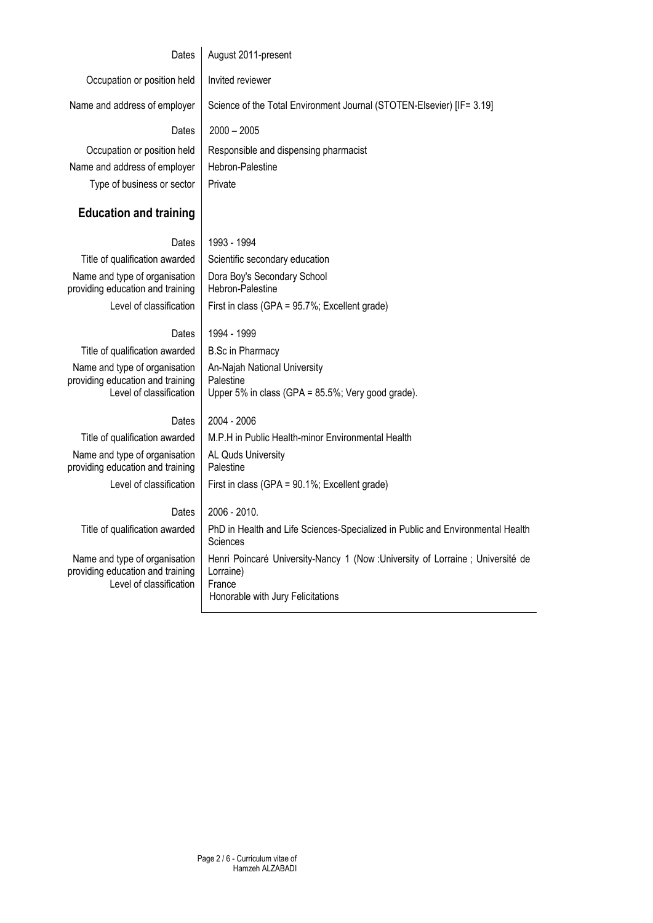## **Dates** Occupation or position held Name and address of employer **Dates** August 2011-present Invited reviewer Science of the Total Environment Journal (STOTEN-Elsevier) [IF= 3.19] 2000 – 2005 Occupation or position held Responsible and dispensing pharmacist Name and address of employer | Hebron-Palestine Type of business or sector | Private **Education and training** Dates 1993 - 1994 Title of qualification awarded  $\vert$  Scientific secondary education Name and type of organisation providing education and training Dora Boy's Secondary School Hebron-Palestine Level of classification | First in class (GPA =  $95.7\%$ ; Excellent grade) Dates 1994 - 1999 Title of qualification awarded  $\parallel$  B.Sc in Pharmacy Name and type of organisation providing education and training Level of classification An-Najah National University **Palestine** Upper 5% in class (GPA = 85.5%; Very good grade). Dates | 2004 - 2006 Title of qualification awarded  $\parallel$  M.P.H in Public Health-minor Environmental Health Name and type of organisation providing education and training AL Quds University Palestine Level of classification | First in class (GPA =  $90.1\%$ ; Excellent grade) Dates 2006 - 2010. Title of qualification awarded | PhD in Health and Life Sciences-Specialized in Public and Environmental Health **Sciences** Name and type of organisation providing education and training Level of classification Henri Poincaré University-Nancy 1 (Now :University of Lorraine ; Université de Lorraine) France Honorable with Jury Felicitations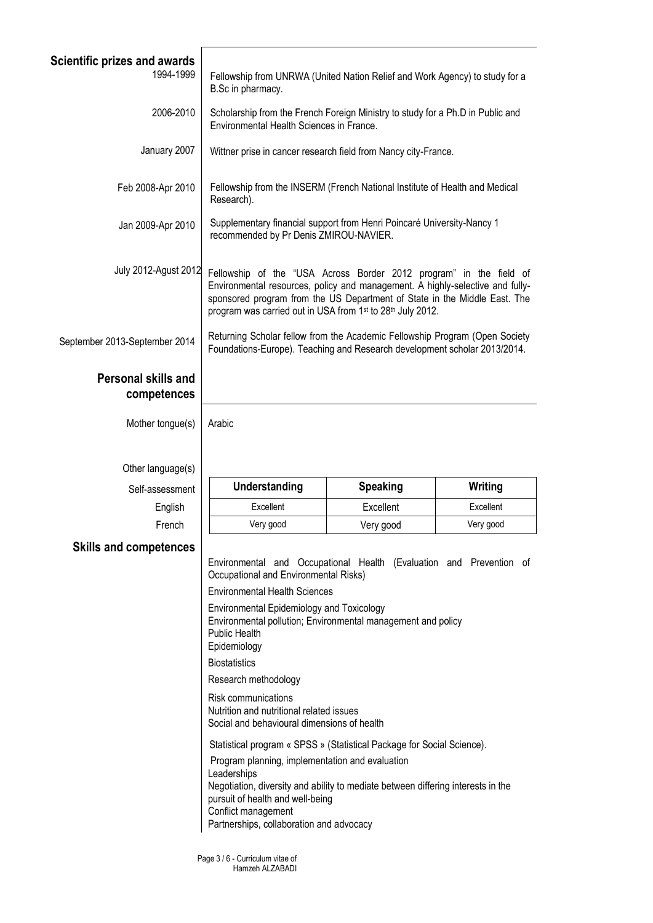| Scientific prizes and awards<br>1994-1999 | Fellowship from UNRWA (United Nation Relief and Work Agency) to study for a<br>B.Sc in pharmacy.                                                                                                                                                                                               |                 |           |
|-------------------------------------------|------------------------------------------------------------------------------------------------------------------------------------------------------------------------------------------------------------------------------------------------------------------------------------------------|-----------------|-----------|
| 2006-2010                                 | Scholarship from the French Foreign Ministry to study for a Ph.D in Public and<br>Environmental Health Sciences in France.                                                                                                                                                                     |                 |           |
| January 2007                              | Wittner prise in cancer research field from Nancy city-France.                                                                                                                                                                                                                                 |                 |           |
| Feb 2008-Apr 2010                         | Fellowship from the INSERM (French National Institute of Health and Medical<br>Research).                                                                                                                                                                                                      |                 |           |
| Jan 2009-Apr 2010                         | Supplementary financial support from Henri Poincaré University-Nancy 1<br>recommended by Pr Denis ZMIROU-NAVIER.                                                                                                                                                                               |                 |           |
| July 2012-Agust 2012                      | Fellowship of the "USA Across Border 2012 program" in the field of<br>Environmental resources, policy and management. A highly-selective and fully-<br>sponsored program from the US Department of State in the Middle East. The<br>program was carried out in USA from 1st to 28th July 2012. |                 |           |
| September 2013-September 2014             | Returning Scholar fellow from the Academic Fellowship Program (Open Society<br>Foundations-Europe). Teaching and Research development scholar 2013/2014.                                                                                                                                       |                 |           |
| <b>Personal skills and</b><br>competences |                                                                                                                                                                                                                                                                                                |                 |           |
| Mother tongue(s)                          | Arabic                                                                                                                                                                                                                                                                                         |                 |           |
| Other language(s)                         |                                                                                                                                                                                                                                                                                                |                 |           |
| Self-assessment                           | Understanding                                                                                                                                                                                                                                                                                  | <b>Speaking</b> | Writing   |
| English                                   | Excellent                                                                                                                                                                                                                                                                                      | Excellent       | Excellent |
| French                                    | Very good                                                                                                                                                                                                                                                                                      | Very good       | Very good |
| <b>Skills and competences</b>             | Environmental and Occupational Health (Evaluation and Prevention of                                                                                                                                                                                                                            |                 |           |
|                                           | Occupational and Environmental Risks)                                                                                                                                                                                                                                                          |                 |           |
|                                           | <b>Environmental Health Sciences</b>                                                                                                                                                                                                                                                           |                 |           |
|                                           | Environmental Epidemiology and Toxicology<br>Environmental pollution; Environmental management and policy<br><b>Public Health</b><br>Epidemiology                                                                                                                                              |                 |           |
|                                           | <b>Biostatistics</b>                                                                                                                                                                                                                                                                           |                 |           |
|                                           | Research methodology                                                                                                                                                                                                                                                                           |                 |           |
|                                           | Risk communications<br>Nutrition and nutritional related issues<br>Social and behavioural dimensions of health                                                                                                                                                                                 |                 |           |
|                                           | Statistical program « SPSS » (Statistical Package for Social Science).                                                                                                                                                                                                                         |                 |           |
|                                           | Program planning, implementation and evaluation<br>Leaderships<br>Negotiation, diversity and ability to mediate between differing interests in the<br>pursuit of health and well-being<br>Conflict management<br>Partnerships, collaboration and advocacy                                      |                 |           |

Page 3 / 6 - Curriculum vitae of Hamzeh ALZABADI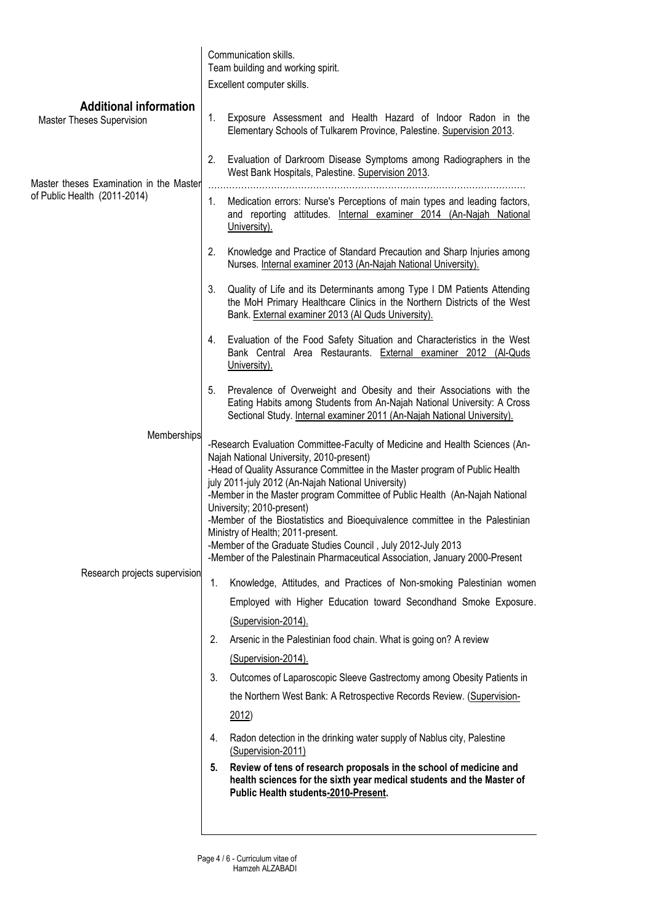|                                                                         | Communication skills.                                                                                                                                                                                                                                                                                                                                                                                                                                                                                                                                                                                                                        |  |
|-------------------------------------------------------------------------|----------------------------------------------------------------------------------------------------------------------------------------------------------------------------------------------------------------------------------------------------------------------------------------------------------------------------------------------------------------------------------------------------------------------------------------------------------------------------------------------------------------------------------------------------------------------------------------------------------------------------------------------|--|
|                                                                         | Team building and working spirit.<br>Excellent computer skills.                                                                                                                                                                                                                                                                                                                                                                                                                                                                                                                                                                              |  |
| <b>Additional information</b>                                           |                                                                                                                                                                                                                                                                                                                                                                                                                                                                                                                                                                                                                                              |  |
| <b>Master Theses Supervision</b>                                        | Exposure Assessment and Health Hazard of Indoor Radon in the<br>1.<br>Elementary Schools of Tulkarem Province, Palestine. Supervision 2013.                                                                                                                                                                                                                                                                                                                                                                                                                                                                                                  |  |
| Master theses Examination in the Master<br>of Public Health (2011-2014) | 2.<br>Evaluation of Darkroom Disease Symptoms among Radiographers in the<br>West Bank Hospitals, Palestine. Supervision 2013.<br>.                                                                                                                                                                                                                                                                                                                                                                                                                                                                                                           |  |
|                                                                         | 1.<br>Medication errors: Nurse's Perceptions of main types and leading factors,<br>and reporting attitudes. Internal examiner 2014 (An-Najah National<br>University).                                                                                                                                                                                                                                                                                                                                                                                                                                                                        |  |
|                                                                         | 2.<br>Knowledge and Practice of Standard Precaution and Sharp Injuries among<br>Nurses. Internal examiner 2013 (An-Najah National University).                                                                                                                                                                                                                                                                                                                                                                                                                                                                                               |  |
|                                                                         | 3.<br>Quality of Life and its Determinants among Type I DM Patients Attending<br>the MoH Primary Healthcare Clinics in the Northern Districts of the West<br>Bank. External examiner 2013 (Al Quds University).                                                                                                                                                                                                                                                                                                                                                                                                                              |  |
|                                                                         | Evaluation of the Food Safety Situation and Characteristics in the West<br>4.<br>Bank Central Area Restaurants. External examiner 2012 (Al-Quds<br>University).                                                                                                                                                                                                                                                                                                                                                                                                                                                                              |  |
|                                                                         | Prevalence of Overweight and Obesity and their Associations with the<br>5.<br>Eating Habits among Students from An-Najah National University: A Cross<br>Sectional Study. Internal examiner 2011 (An-Najah National University).                                                                                                                                                                                                                                                                                                                                                                                                             |  |
| Memberships                                                             | -Research Evaluation Committee-Faculty of Medicine and Health Sciences (An-<br>Najah National University, 2010-present)<br>-Head of Quality Assurance Committee in the Master program of Public Health<br>july 2011-july 2012 (An-Najah National University)<br>-Member in the Master program Committee of Public Health (An-Najah National<br>University; 2010-present)<br>-Member of the Biostatistics and Bioequivalence committee in the Palestinian<br>Ministry of Health; 2011-present.<br>-Member of the Graduate Studies Council, July 2012-July 2013<br>-Member of the Palestinain Pharmaceutical Association, January 2000-Present |  |
| Research projects supervision                                           | Knowledge, Attitudes, and Practices of Non-smoking Palestinian women<br>1.<br>Employed with Higher Education toward Secondhand Smoke Exposure.                                                                                                                                                                                                                                                                                                                                                                                                                                                                                               |  |
|                                                                         | (Supervision-2014).                                                                                                                                                                                                                                                                                                                                                                                                                                                                                                                                                                                                                          |  |
|                                                                         | 2.<br>Arsenic in the Palestinian food chain. What is going on? A review                                                                                                                                                                                                                                                                                                                                                                                                                                                                                                                                                                      |  |
|                                                                         | (Supervision-2014).                                                                                                                                                                                                                                                                                                                                                                                                                                                                                                                                                                                                                          |  |
|                                                                         | Outcomes of Laparoscopic Sleeve Gastrectomy among Obesity Patients in<br>3.<br>the Northern West Bank: A Retrospective Records Review. (Supervision-                                                                                                                                                                                                                                                                                                                                                                                                                                                                                         |  |
|                                                                         | 2012)                                                                                                                                                                                                                                                                                                                                                                                                                                                                                                                                                                                                                                        |  |
|                                                                         | Radon detection in the drinking water supply of Nablus city, Palestine<br>4.<br>(Supervision-2011)                                                                                                                                                                                                                                                                                                                                                                                                                                                                                                                                           |  |
|                                                                         | Review of tens of research proposals in the school of medicine and<br>5.<br>health sciences for the sixth year medical students and the Master of<br>Public Health students-2010-Present.                                                                                                                                                                                                                                                                                                                                                                                                                                                    |  |
|                                                                         |                                                                                                                                                                                                                                                                                                                                                                                                                                                                                                                                                                                                                                              |  |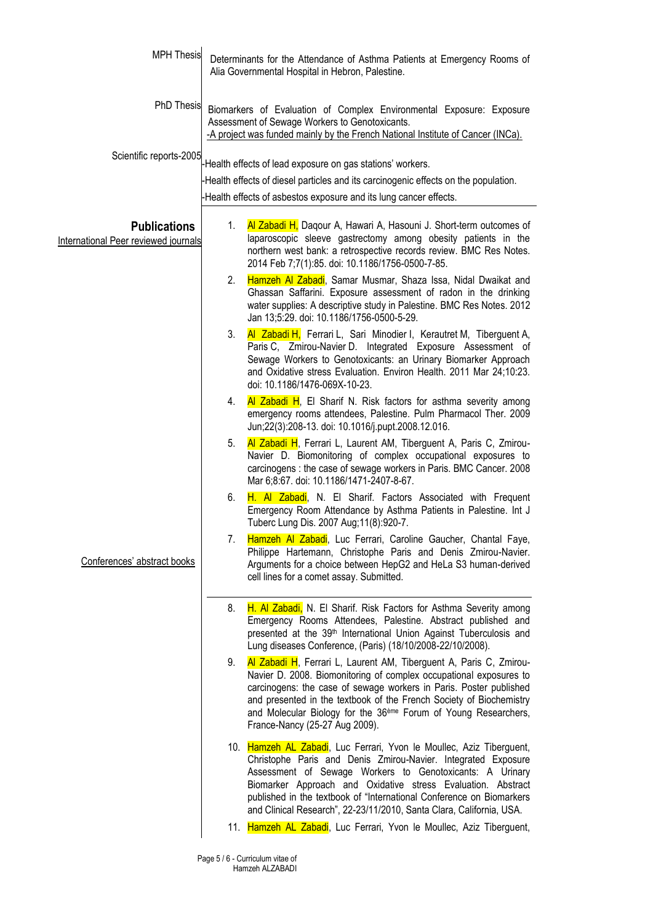| <b>MPH Thesis</b>                                                  | Determinants for the Attendance of Asthma Patients at Emergency Rooms of<br>Alia Governmental Hospital in Hebron, Palestine.                                                                                                                                                                                                                                                                                      |  |
|--------------------------------------------------------------------|-------------------------------------------------------------------------------------------------------------------------------------------------------------------------------------------------------------------------------------------------------------------------------------------------------------------------------------------------------------------------------------------------------------------|--|
| PhD Thesis                                                         | Biomarkers of Evaluation of Complex Environmental Exposure: Exposure<br>Assessment of Sewage Workers to Genotoxicants.<br>-A project was funded mainly by the French National Institute of Cancer (INCa).                                                                                                                                                                                                         |  |
| Scientific reports-2005                                            | -Health effects of lead exposure on gas stations' workers.                                                                                                                                                                                                                                                                                                                                                        |  |
|                                                                    | Health effects of diesel particles and its carcinogenic effects on the population.                                                                                                                                                                                                                                                                                                                                |  |
|                                                                    | -Health effects of asbestos exposure and its lung cancer effects.                                                                                                                                                                                                                                                                                                                                                 |  |
| <b>Publications</b><br><b>International Peer reviewed journals</b> | Al Zabadi H, Daqour A, Hawari A, Hasouni J. Short-term outcomes of<br>1.<br>laparoscopic sleeve gastrectomy among obesity patients in the<br>northern west bank: a retrospective records review. BMC Res Notes.<br>2014 Feb 7;7(1):85. doi: 10.1186/1756-0500-7-85.                                                                                                                                               |  |
|                                                                    | Hamzeh Al Zabadi, Samar Musmar, Shaza Issa, Nidal Dwaikat and<br>2.<br>Ghassan Saffarini. Exposure assessment of radon in the drinking<br>water supplies: A descriptive study in Palestine. BMC Res Notes. 2012<br>Jan 13;5:29. doi: 10.1186/1756-0500-5-29.                                                                                                                                                      |  |
|                                                                    | 3.<br>Al Zabadi H, Ferrari L, Sari Minodier I, Kerautret M, Tiberguent A,<br>Paris C, Zmirou-Navier D. Integrated Exposure Assessment of<br>Sewage Workers to Genotoxicants: an Urinary Biomarker Approach<br>and Oxidative stress Evaluation. Environ Health. 2011 Mar 24;10:23.<br>doi: 10.1186/1476-069X-10-23.                                                                                                |  |
|                                                                    | Al Zabadi H, El Sharif N. Risk factors for asthma severity among<br>4.<br>emergency rooms attendees, Palestine. Pulm Pharmacol Ther. 2009<br>Jun;22(3):208-13. doi: 10.1016/j.pupt.2008.12.016.                                                                                                                                                                                                                   |  |
|                                                                    | Al Zabadi H, Ferrari L, Laurent AM, Tiberguent A, Paris C, Zmirou-<br>5.<br>Navier D. Biomonitoring of complex occupational exposures to<br>carcinogens : the case of sewage workers in Paris. BMC Cancer. 2008<br>Mar 6;8:67. doi: 10.1186/1471-2407-8-67.                                                                                                                                                       |  |
|                                                                    | 6.<br>H. Al Zabadi, N. El Sharif. Factors Associated with Frequent<br>Emergency Room Attendance by Asthma Patients in Palestine. Int J<br>Tuberc Lung Dis. 2007 Aug; 11(8): 920-7.                                                                                                                                                                                                                                |  |
| Conferences' abstract books                                        | Hamzeh Al Zabadi, Luc Ferrari, Caroline Gaucher, Chantal Faye,<br>7.<br>Philippe Hartemann, Christophe Paris and Denis Zmirou-Navier.<br>Arguments for a choice between HepG2 and HeLa S3 human-derived<br>cell lines for a comet assay. Submitted.                                                                                                                                                               |  |
|                                                                    | H. Al Zabadi, N. El Sharif. Risk Factors for Asthma Severity among<br>8.<br>Emergency Rooms Attendees, Palestine. Abstract published and<br>presented at the 39 <sup>th</sup> International Union Against Tuberculosis and<br>Lung diseases Conference, (Paris) (18/10/2008-22/10/2008).                                                                                                                          |  |
|                                                                    | 9.<br>Al Zabadi H, Ferrari L, Laurent AM, Tiberguent A, Paris C, Zmirou-<br>Navier D. 2008. Biomonitoring of complex occupational exposures to<br>carcinogens: the case of sewage workers in Paris. Poster published<br>and presented in the textbook of the French Society of Biochemistry<br>and Molecular Biology for the 36 <sup>ème</sup> Forum of Young Researchers,<br>France-Nancy (25-27 Aug 2009).      |  |
|                                                                    | 10. Hamzeh AL Zabadi, Luc Ferrari, Yvon le Moullec, Aziz Tiberguent,<br>Christophe Paris and Denis Zmirou-Navier. Integrated Exposure<br>Assessment of Sewage Workers to Genotoxicants: A Urinary<br>Biomarker Approach and Oxidative stress Evaluation. Abstract<br>published in the textbook of "International Conference on Biomarkers<br>and Clinical Research", 22-23/11/2010, Santa Clara, California, USA. |  |
|                                                                    | 11. Hamzeh AL Zabadi, Luc Ferrari, Yvon le Moullec, Aziz Tiberguent,                                                                                                                                                                                                                                                                                                                                              |  |